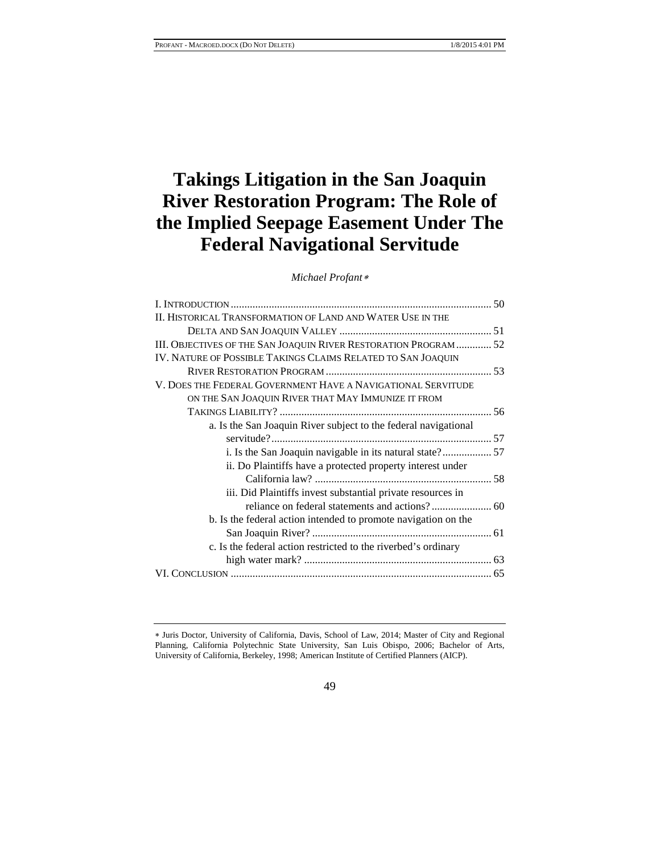# **Takings Litigation in the San Joaquin River Restoration Program: The Role of the Implied Seepage Easement Under The Federal Navigational Servitude**

*Michael Profant*[∗](#page-0-0)

| II. HISTORICAL TRANSFORMATION OF LAND AND WATER USE IN THE       |  |
|------------------------------------------------------------------|--|
|                                                                  |  |
| III. OBJECTIVES OF THE SAN JOAQUIN RIVER RESTORATION PROGRAM  52 |  |
| IV. NATURE OF POSSIBLE TAKINGS CLAIMS RELATED TO SAN JOAQUIN     |  |
|                                                                  |  |
| V. DOES THE FEDERAL GOVERNMENT HAVE A NAVIGATIONAL SERVITUDE     |  |
| ON THE SAN JOAQUIN RIVER THAT MAY IMMUNIZE IT FROM               |  |
|                                                                  |  |
| a. Is the San Joaquin River subject to the federal navigational  |  |
|                                                                  |  |
|                                                                  |  |
| ii. Do Plaintiffs have a protected property interest under       |  |
|                                                                  |  |
| iii. Did Plaintiffs invest substantial private resources in      |  |
|                                                                  |  |
| b. Is the federal action intended to promote navigation on the   |  |
|                                                                  |  |
| c. Is the federal action restricted to the riverbed's ordinary   |  |
|                                                                  |  |
|                                                                  |  |

49

<span id="page-0-0"></span><sup>∗</sup> Juris Doctor, University of California, Davis, School of Law, 2014; Master of City and Regional Planning, California Polytechnic State University, San Luis Obispo, 2006; Bachelor of Arts, University of California, Berkeley, 1998; American Institute of Certified Planners (AICP).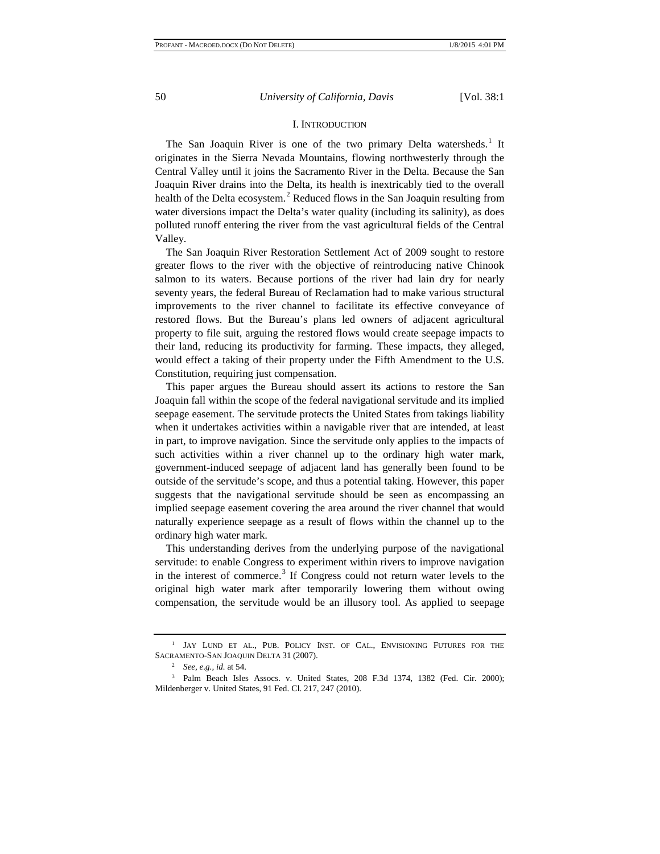#### I. INTRODUCTION

The San Joaquin River is one of the two primary Delta watersheds.<sup>[1](#page-1-0)</sup> It originates in the Sierra Nevada Mountains, flowing northwesterly through the Central Valley until it joins the Sacramento River in the Delta. Because the San Joaquin River drains into the Delta, its health is inextricably tied to the overall health of the Delta ecosystem.<sup>[2](#page-1-1)</sup> Reduced flows in the San Joaquin resulting from water diversions impact the Delta's water quality (including its salinity), as does polluted runoff entering the river from the vast agricultural fields of the Central Valley.

The San Joaquin River Restoration Settlement Act of 2009 sought to restore greater flows to the river with the objective of reintroducing native Chinook salmon to its waters. Because portions of the river had lain dry for nearly seventy years, the federal Bureau of Reclamation had to make various structural improvements to the river channel to facilitate its effective conveyance of restored flows. But the Bureau's plans led owners of adjacent agricultural property to file suit, arguing the restored flows would create seepage impacts to their land, reducing its productivity for farming. These impacts, they alleged, would effect a taking of their property under the Fifth Amendment to the U.S. Constitution, requiring just compensation.

This paper argues the Bureau should assert its actions to restore the San Joaquin fall within the scope of the federal navigational servitude and its implied seepage easement. The servitude protects the United States from takings liability when it undertakes activities within a navigable river that are intended, at least in part, to improve navigation. Since the servitude only applies to the impacts of such activities within a river channel up to the ordinary high water mark, government-induced seepage of adjacent land has generally been found to be outside of the servitude's scope, and thus a potential taking. However, this paper suggests that the navigational servitude should be seen as encompassing an implied seepage easement covering the area around the river channel that would naturally experience seepage as a result of flows within the channel up to the ordinary high water mark.

This understanding derives from the underlying purpose of the navigational servitude: to enable Congress to experiment within rivers to improve navigation in the interest of commerce.<sup>[3](#page-1-2)</sup> If Congress could not return water levels to the original high water mark after temporarily lowering them without owing compensation, the servitude would be an illusory tool. As applied to seepage

<span id="page-1-0"></span><sup>&</sup>lt;sup>1</sup> JAY LUND ET AL., PUB. POLICY INST. OF CAL., ENVISIONING FUTURES FOR THE SACRAMENTO-SAN JOAQUIN DELTA 31 (2007).

<sup>2</sup> *See, e.g., id.* at 54.

<span id="page-1-2"></span><span id="page-1-1"></span><sup>3</sup> Palm Beach Isles Assocs. v. United States, 208 F.3d 1374, 1382 (Fed. Cir. 2000); Mildenberger v. United States, 91 Fed. Cl. 217, 247 (2010).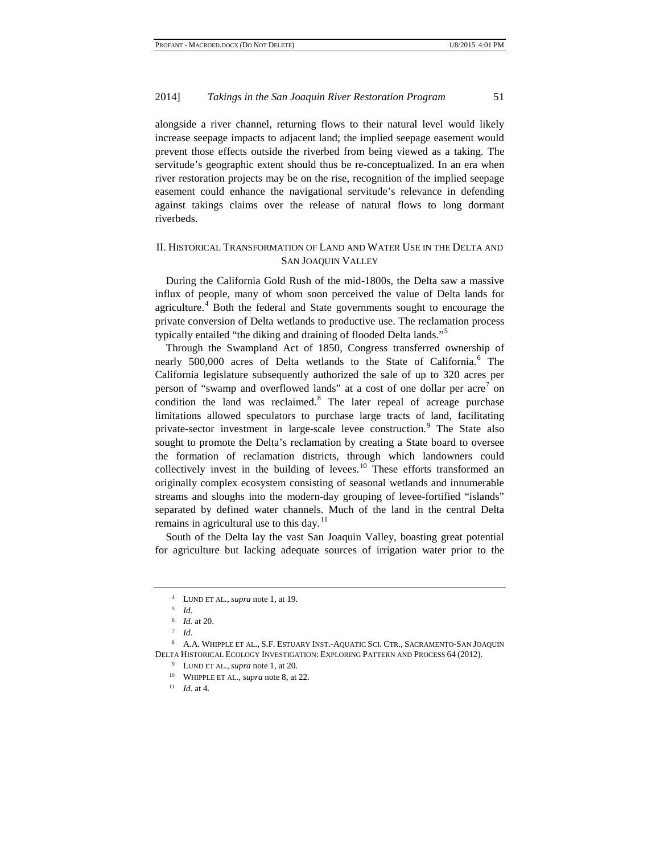alongside a river channel, returning flows to their natural level would likely increase seepage impacts to adjacent land; the implied seepage easement would prevent those effects outside the riverbed from being viewed as a taking. The servitude's geographic extent should thus be re-conceptualized. In an era when river restoration projects may be on the rise, recognition of the implied seepage easement could enhance the navigational servitude's relevance in defending against takings claims over the release of natural flows to long dormant riverbeds.

# II. HISTORICAL TRANSFORMATION OF LAND AND WATER USE IN THE DELTA AND SAN JOAQUIN VALLEY

During the California Gold Rush of the mid-1800s, the Delta saw a massive influx of people, many of whom soon perceived the value of Delta lands for agriculture.<sup>[4](#page-2-0)</sup> Both the federal and State governments sought to encourage the private conversion of Delta wetlands to productive use. The reclamation process typically entailed "the diking and draining of flooded Delta lands."[5](#page-2-1)

Through the Swampland Act of 1850, Congress transferred ownership of nearly 500,000 acres of Delta wetlands to the State of California.<sup>[6](#page-2-2)</sup> The California legislature subsequently authorized the sale of up to 320 acres per person of "swamp and overflowed lands" at a cost of one dollar per  $\arccos \theta$  on condition the land was reclaimed.<sup>[8](#page-2-4)</sup> The later repeal of acreage purchase limitations allowed speculators to purchase large tracts of land, facilitating private-sector investment in large-scale levee construction.<sup>[9](#page-2-5)</sup> The State also sought to promote the Delta's reclamation by creating a State board to oversee the formation of reclamation districts, through which landowners could collectively invest in the building of levees.<sup>[10](#page-2-6)</sup> These efforts transformed an originally complex ecosystem consisting of seasonal wetlands and innumerable streams and sloughs into the modern-day grouping of levee-fortified "islands" separated by defined water channels. Much of the land in the central Delta remains in agricultural use to this day.<sup>[11](#page-2-7)</sup>

South of the Delta lay the vast San Joaquin Valley, boasting great potential for agriculture but lacking adequate sources of irrigation water prior to the

<sup>4</sup> LUND ET AL., *supra* note 1, at 19.

<sup>5</sup> *Id.*

<sup>6</sup> *Id.* at 20.

<sup>7</sup> *Id.*

<span id="page-2-7"></span><span id="page-2-6"></span><span id="page-2-5"></span><span id="page-2-4"></span><span id="page-2-3"></span><span id="page-2-2"></span><span id="page-2-1"></span><span id="page-2-0"></span><sup>8</sup> A.A. WHIPPLE ET AL., S.F. ESTUARY INST.-AQUATIC SCI. CTR., SACRAMENTO-SAN JOAQUIN DELTA HISTORICAL ECOLOGY INVESTIGATION: EXPLORING PATTERN AND PROCESS 64 (2012).

<sup>9</sup> LUND ET AL., *supra* note 1, at 20.

<sup>10</sup> WHIPPLE ET AL., *supra* note 8, at 22.

<sup>11</sup> *Id.* at 4.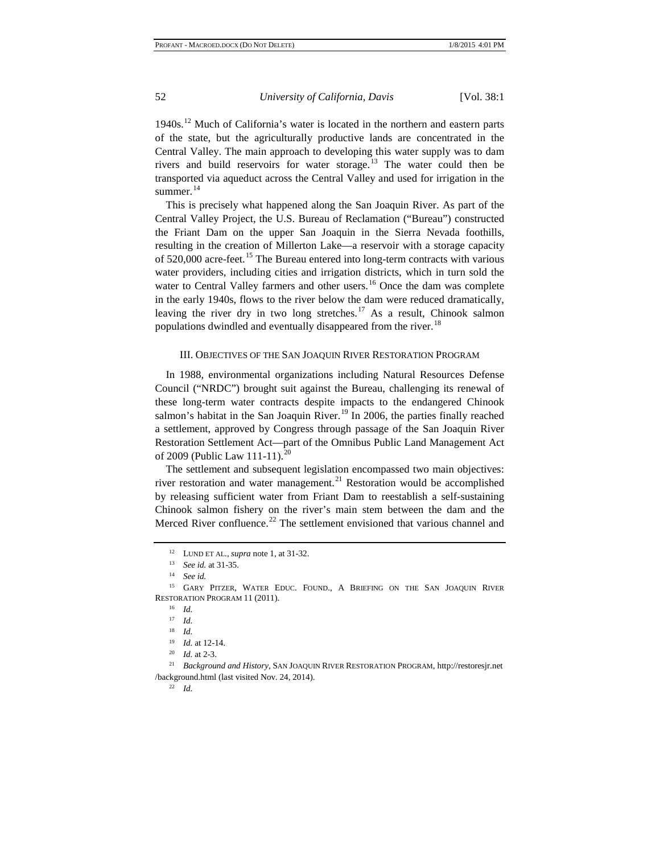1940s.<sup>[12](#page-3-0)</sup> Much of California's water is located in the northern and eastern parts of the state, but the agriculturally productive lands are concentrated in the Central Valley. The main approach to developing this water supply was to dam rivers and build reservoirs for water storage.<sup>[13](#page-3-1)</sup> The water could then be transported via aqueduct across the Central Valley and used for irrigation in the summer.<sup>[14](#page-3-2)</sup>

This is precisely what happened along the San Joaquin River. As part of the Central Valley Project, the U.S. Bureau of Reclamation ("Bureau") constructed the Friant Dam on the upper San Joaquin in the Sierra Nevada foothills, resulting in the creation of Millerton Lake—a reservoir with a storage capacity of 520,000 acre-feet.<sup>[15](#page-3-3)</sup> The Bureau entered into long-term contracts with various water providers, including cities and irrigation districts, which in turn sold the water to Central Valley farmers and other users.<sup>[16](#page-3-4)</sup> Once the dam was complete in the early 1940s, flows to the river below the dam were reduced dramatically, leaving the river dry in two long stretches.[17](#page-3-5) As a result, Chinook salmon populations dwindled and eventually disappeared from the river.<sup>[18](#page-3-6)</sup>

#### III. OBJECTIVES OF THE SAN JOAQUIN RIVER RESTORATION PROGRAM

In 1988, environmental organizations including Natural Resources Defense Council ("NRDC") brought suit against the Bureau, challenging its renewal of these long-term water contracts despite impacts to the endangered Chinook salmon's habitat in the San Joaquin River.<sup>[19](#page-3-7)</sup> In 2006, the parties finally reached a settlement, approved by Congress through passage of the San Joaquin River Restoration Settlement Act—part of the Omnibus Public Land Management Act of [20](#page-3-8)09 (Public Law 111-11).<sup>20</sup>

The settlement and subsequent legislation encompassed two main objectives: river restoration and water management.<sup>[21](#page-3-9)</sup> Restoration would be accomplished by releasing sufficient water from Friant Dam to reestablish a self-sustaining Chinook salmon fishery on the river's main stem between the dam and the Merced River confluence.<sup>[22](#page-3-10)</sup> The settlement envisioned that various channel and

<sup>12</sup> LUND ET AL., *supra* note 1, at 31-32.

<sup>13</sup> *See id.* at 31-35.

<sup>14</sup> *See id.*

<span id="page-3-5"></span><span id="page-3-4"></span><span id="page-3-3"></span><span id="page-3-2"></span><span id="page-3-1"></span><span id="page-3-0"></span><sup>&</sup>lt;sup>15</sup> GARY PITZER, WATER EDUC. FOUND., A BRIEFING ON THE SAN JOAQUIN RIVER RESTORATION PROGRAM 11 (2011).

<sup>16</sup> *Id.*

<sup>17</sup> *Id.*

<sup>18</sup> *Id.*

<sup>19</sup> *Id.* at 12-14.

<sup>20</sup> *Id.* at 2-3.

<span id="page-3-10"></span><span id="page-3-9"></span><span id="page-3-8"></span><span id="page-3-7"></span><span id="page-3-6"></span><sup>21</sup> *Background and History*, SAN JOAQUIN RIVER RESTORATION PROGRAM, http://restoresjr.net /background.html (last visited Nov. 24, 2014).

<sup>22</sup> *Id.*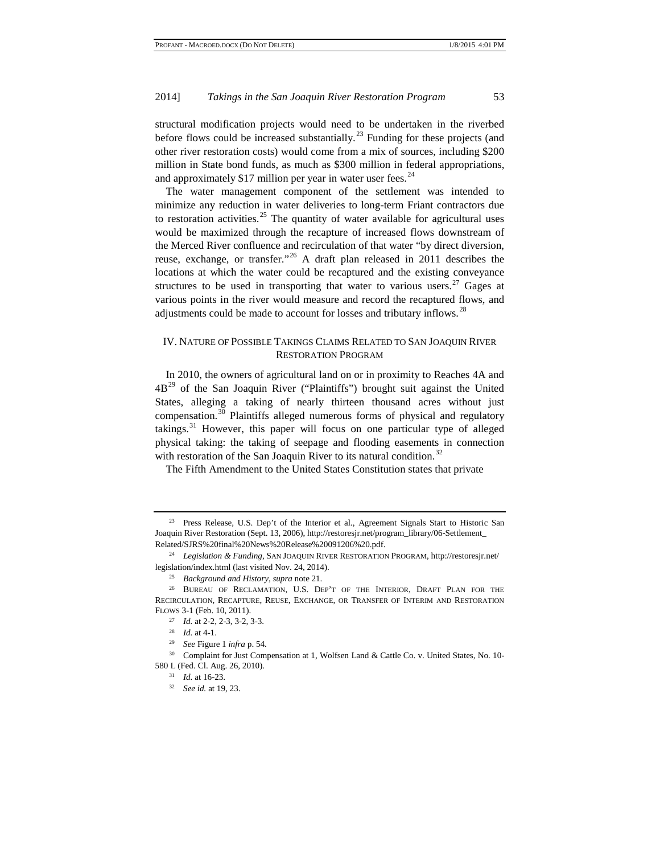structural modification projects would need to be undertaken in the riverbed before flows could be increased substantially.<sup>[23](#page-4-0)</sup> Funding for these projects (and other river restoration costs) would come from a mix of sources, including \$200 million in State bond funds, as much as \$300 million in federal appropriations, and approximately \$17 million per year in water user fees. $24$ 

The water management component of the settlement was intended to minimize any reduction in water deliveries to long-term Friant contractors due to restoration activities.<sup>[25](#page-4-2)</sup> The quantity of water available for agricultural uses would be maximized through the recapture of increased flows downstream of the Merced River confluence and recirculation of that water "by direct diversion, reuse, exchange, or transfer."[26](#page-4-3) A draft plan released in 2011 describes the locations at which the water could be recaptured and the existing conveyance structures to be used in transporting that water to various users.<sup>[27](#page-4-4)</sup> Gages at various points in the river would measure and record the recaptured flows, and adjustments could be made to account for losses and tributary inflows.<sup>[28](#page-4-5)</sup>

## IV. NATURE OF POSSIBLE TAKINGS CLAIMS RELATED TO SAN JOAQUIN RIVER RESTORATION PROGRAM

In 2010, the owners of agricultural land on or in proximity to Reaches 4A and  $4B<sup>29</sup>$  $4B<sup>29</sup>$  $4B<sup>29</sup>$  of the San Joaquin River ("Plaintiffs") brought suit against the United States, alleging a taking of nearly thirteen thousand acres without just compensation.[30](#page-4-7) Plaintiffs alleged numerous forms of physical and regulatory takings.<sup>[31](#page-4-8)</sup> However, this paper will focus on one particular type of alleged physical taking: the taking of seepage and flooding easements in connection with restoration of the San Joaquin River to its natural condition.<sup>[32](#page-4-9)</sup>

The Fifth Amendment to the United States Constitution states that private

<span id="page-4-0"></span><sup>&</sup>lt;sup>23</sup> Press Release, U.S. Dep't of the Interior et al., Agreement Signals Start to Historic San Joaquin River Restoration (Sept. 13, 2006), http://restoresjr.net/program\_library/06-Settlement\_ Related/SJRS%20final%20News%20Release%20091206%20.pdf.

<span id="page-4-1"></span><sup>24</sup> *Legislation & Funding*, SAN JOAQUIN RIVER RESTORATION PROGRAM, http://restoresjr.net/ legislation/index.html (last visited Nov. 24, 2014).

<sup>25</sup> *Background and History*, *supra* note 21.

<span id="page-4-4"></span><span id="page-4-3"></span><span id="page-4-2"></span><sup>&</sup>lt;sup>26</sup> BUREAU OF RECLAMATION, U.S. DEP'T OF THE INTERIOR, DRAFT PLAN FOR THE RECIRCULATION, RECAPTURE, REUSE, EXCHANGE, OR TRANSFER OF INTERIM AND RESTORATION FLOWS 3-1 (Feb. 10, 2011).

<sup>27</sup> *Id.* at 2-2, 2-3, 3-2, 3-3.

<sup>28</sup> *Id.* at 4-1.

<sup>29</sup> *See* Figure 1 *infra* p. 54.

<span id="page-4-9"></span><span id="page-4-8"></span><span id="page-4-7"></span><span id="page-4-6"></span><span id="page-4-5"></span><sup>&</sup>lt;sup>30</sup> Complaint for Just Compensation at 1, Wolfsen Land & Cattle Co. v. United States, No. 10-580 L (Fed. Cl. Aug. 26, 2010).

<sup>31</sup> *Id.* at 16-23.

<sup>32</sup> *See id.* at 19, 23.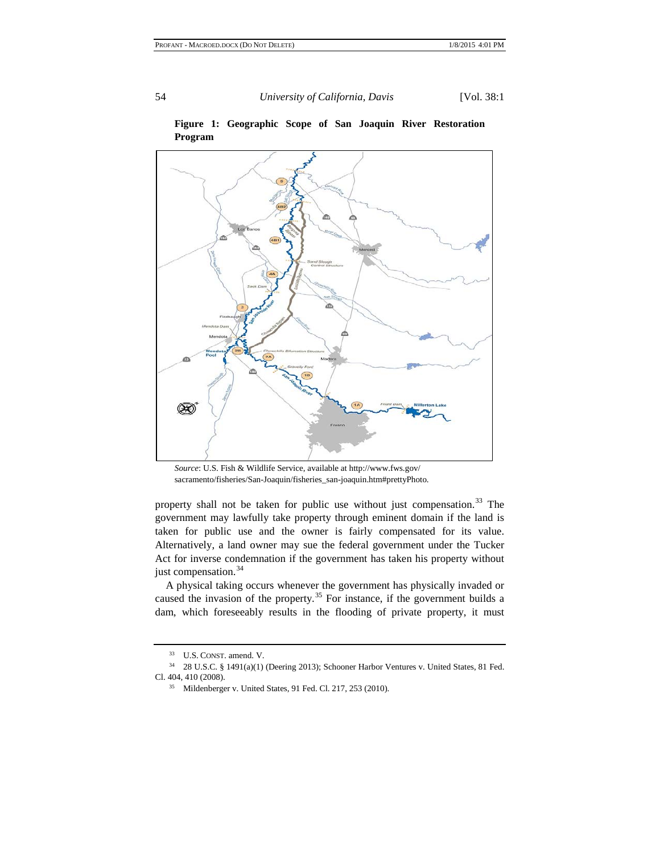

## **Figure 1: Geographic Scope of San Joaquin River Restoration Program**

*Source*: U.S. Fish & Wildlife Service, available at http://www.fws.gov/ sacramento/fisheries/San-Joaquin/fisheries\_san-joaquin.htm#prettyPhoto.

property shall not be taken for public use without just compensation. $33$  The government may lawfully take property through eminent domain if the land is taken for public use and the owner is fairly compensated for its value. Alternatively, a land owner may sue the federal government under the Tucker Act for inverse condemnation if the government has taken his property without just compensation.<sup>[34](#page-5-1)</sup>

A physical taking occurs whenever the government has physically invaded or caused the invasion of the property.<sup>[35](#page-5-2)</sup> For instance, if the government builds a dam, which foreseeably results in the flooding of private property, it must

<sup>33</sup> U.S. CONST. amend. V.

<span id="page-5-2"></span><span id="page-5-1"></span><span id="page-5-0"></span><sup>34</sup> 28 U.S.C. § 1491(a)(1) (Deering 2013); Schooner Harbor Ventures v. United States, 81 Fed. Cl. 404, 410 (2008).

<sup>35</sup> Mildenberger v. United States, 91 Fed. Cl. 217, 253 (2010).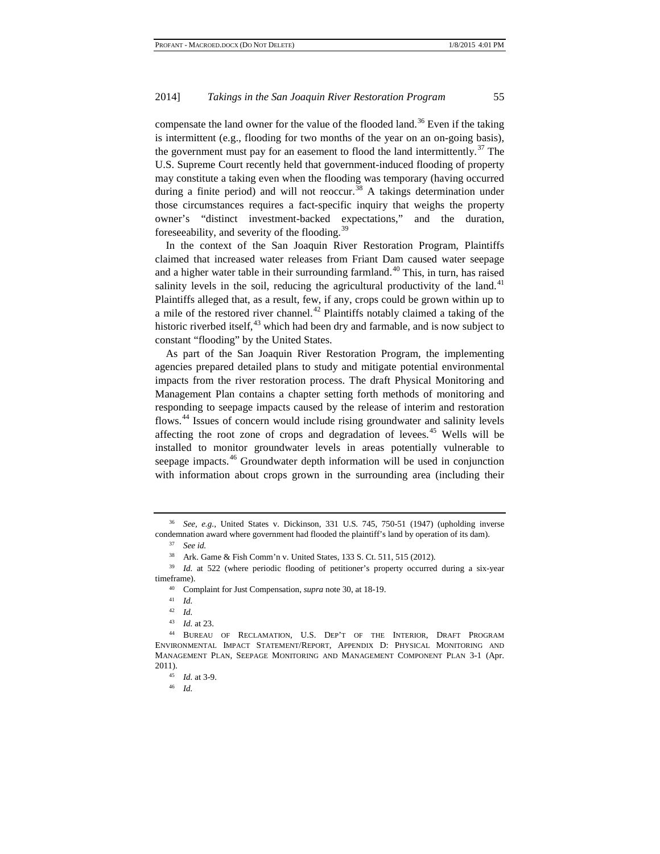compensate the land owner for the value of the flooded land.<sup>[36](#page-6-0)</sup> Even if the taking is intermittent (e.g., flooding for two months of the year on an on-going basis), the government must pay for an easement to flood the land intermittently.<sup>[37](#page-6-1)</sup> The U.S. Supreme Court recently held that government-induced flooding of property may constitute a taking even when the flooding was temporary (having occurred during a finite period) and will not reoccur.<sup>[38](#page-6-2)</sup> A takings determination under those circumstances requires a fact-specific inquiry that weighs the property owner's "distinct investment-backed expectations," and the duration, foreseeability, and severity of the flooding.<sup>[39](#page-6-3)</sup>

In the context of the San Joaquin River Restoration Program, Plaintiffs claimed that increased water releases from Friant Dam caused water seepage and a higher water table in their surrounding farmland.<sup>[40](#page-6-4)</sup> This, in turn, has raised salinity levels in the soil, reducing the agricultural productivity of the land.<sup>[41](#page-6-5)</sup> Plaintiffs alleged that, as a result, few, if any, crops could be grown within up to a mile of the restored river channel.<sup>[42](#page-6-6)</sup> Plaintiffs notably claimed a taking of the historic riverbed itself, $43$  which had been dry and farmable, and is now subject to constant "flooding" by the United States.

As part of the San Joaquin River Restoration Program, the implementing agencies prepared detailed plans to study and mitigate potential environmental impacts from the river restoration process. The draft Physical Monitoring and Management Plan contains a chapter setting forth methods of monitoring and responding to seepage impacts caused by the release of interim and restoration flows.[44](#page-6-8) Issues of concern would include rising groundwater and salinity levels affecting the root zone of crops and degradation of levees.<sup>[45](#page-6-9)</sup> Wells will be installed to monitor groundwater levels in areas potentially vulnerable to seepage impacts.<sup>[46](#page-6-10)</sup> Groundwater depth information will be used in conjunction with information about crops grown in the surrounding area (including their

<span id="page-6-1"></span><span id="page-6-0"></span><sup>36</sup> *See, e.g.*, United States v. Dickinson, 331 U.S. 745, 750-51 (1947) (upholding inverse condemnation award where government had flooded the plaintiff's land by operation of its dam).

<sup>37</sup> *See id.*

<sup>38</sup> Ark. Game & Fish Comm'n v. United States, 133 S. Ct. 511, 515 (2012).

<span id="page-6-4"></span><span id="page-6-3"></span><span id="page-6-2"></span><sup>&</sup>lt;sup>39</sup> *Id.* at 522 (where periodic flooding of petitioner's property occurred during a six-year timeframe).

<sup>40</sup> Complaint for Just Compensation, *supra* note 30, at 18-19.

<sup>41</sup> *Id.*

<sup>42</sup> *Id.*

<sup>43</sup> *Id.* at 23.

<span id="page-6-10"></span><span id="page-6-9"></span><span id="page-6-8"></span><span id="page-6-7"></span><span id="page-6-6"></span><span id="page-6-5"></span><sup>44</sup> BUREAU OF RECLAMATION, U.S. DEP'T OF THE INTERIOR, DRAFT PROGRAM ENVIRONMENTAL IMPACT STATEMENT/REPORT, APPENDIX D: PHYSICAL MONITORING AND MANAGEMENT PLAN, SEEPAGE MONITORING AND MANAGEMENT COMPONENT PLAN 3-1 (Apr. 2011).

<sup>45</sup> *Id.* at 3-9.

<sup>46</sup> *Id.*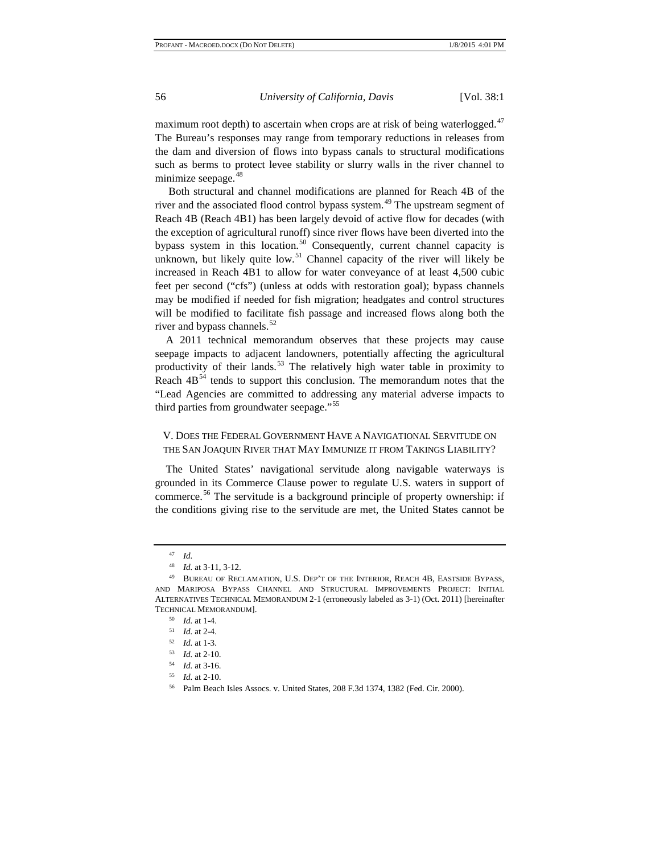maximum root depth) to ascertain when crops are at risk of being waterlogged.<sup>[47](#page-7-0)</sup> The Bureau's responses may range from temporary reductions in releases from the dam and diversion of flows into bypass canals to structural modifications such as berms to protect levee stability or slurry walls in the river channel to minimize seepage.<sup>[48](#page-7-1)</sup>

Both structural and channel modifications are planned for Reach 4B of the river and the associated flood control bypass system.<sup>[49](#page-7-2)</sup> The upstream segment of Reach 4B (Reach 4B1) has been largely devoid of active flow for decades (with the exception of agricultural runoff) since river flows have been diverted into the bypass system in this location.<sup>[50](#page-7-3)</sup> Consequently, current channel capacity is unknown, but likely quite low.<sup>[51](#page-7-4)</sup> Channel capacity of the river will likely be increased in Reach 4B1 to allow for water conveyance of at least 4,500 cubic feet per second ("cfs") (unless at odds with restoration goal); bypass channels may be modified if needed for fish migration; headgates and control structures will be modified to facilitate fish passage and increased flows along both the river and bypass channels.<sup>[52](#page-7-5)</sup>

A 2011 technical memorandum observes that these projects may cause seepage impacts to adjacent landowners, potentially affecting the agricultural productivity of their lands.<sup>[53](#page-7-6)</sup> The relatively high water table in proximity to Reach  $4B<sup>54</sup>$  $4B<sup>54</sup>$  $4B<sup>54</sup>$  tends to support this conclusion. The memorandum notes that the "Lead Agencies are committed to addressing any material adverse impacts to third parties from groundwater seepage."<sup>[55](#page-7-8)</sup>

# V. DOES THE FEDERAL GOVERNMENT HAVE A NAVIGATIONAL SERVITUDE ON THE SAN JOAQUIN RIVER THAT MAY IMMUNIZE IT FROM TAKINGS LIABILITY?

The United States' navigational servitude along navigable waterways is grounded in its Commerce Clause power to regulate U.S. waters in support of commerce.<sup>[56](#page-7-9)</sup> The servitude is a background principle of property ownership: if the conditions giving rise to the servitude are met, the United States cannot be

<sup>47</sup> *Id.*

<sup>48</sup> *Id.* at 3-11, 3-12.

<span id="page-7-4"></span><span id="page-7-3"></span><span id="page-7-2"></span><span id="page-7-1"></span><span id="page-7-0"></span><sup>49</sup> BUREAU OF RECLAMATION, U.S. DEP'T OF THE INTERIOR, REACH 4B, EASTSIDE BYPASS, AND MARIPOSA BYPASS CHANNEL AND STRUCTURAL IMPROVEMENTS PROJECT: INITIAL ALTERNATIVES TECHNICAL MEMORANDUM 2-1 (erroneously labeled as 3-1) (Oct. 2011) [hereinafter TECHNICAL MEMORANDUM].

<sup>50</sup> *Id.* at 1-4.

<sup>51</sup> *Id.* at 2-4.

<span id="page-7-5"></span><sup>52</sup> *Id.* at 1-3.

<span id="page-7-6"></span><sup>53</sup> *Id.* at 2-10.

<span id="page-7-7"></span><sup>54</sup> *Id.* at 3-16.

<span id="page-7-9"></span><span id="page-7-8"></span><sup>55</sup> *Id.* at 2-10.

<sup>56</sup> Palm Beach Isles Assocs. v. United States, 208 F.3d 1374, 1382 (Fed. Cir. 2000).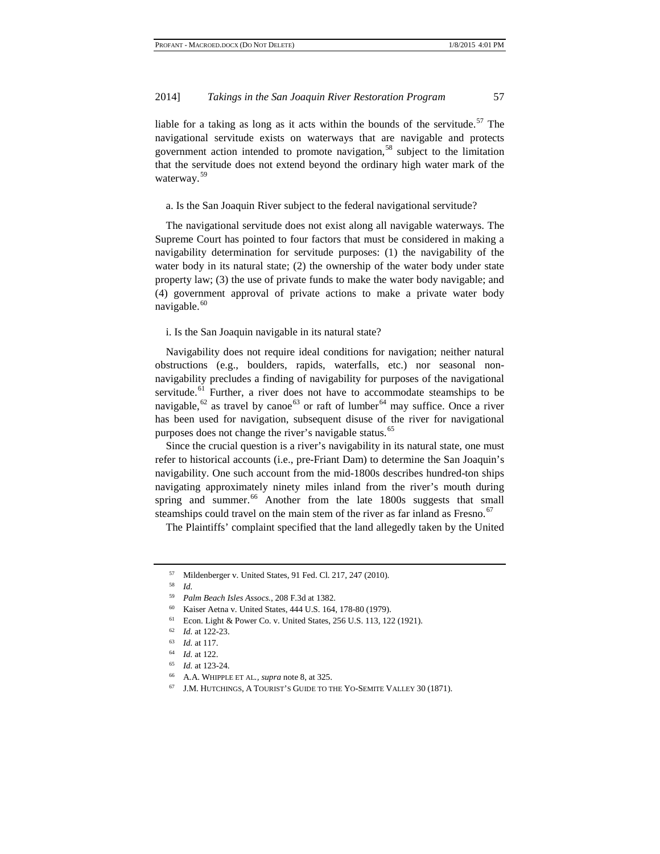liable for a taking as long as it acts within the bounds of the servitude.<sup>[57](#page-8-0)</sup> The navigational servitude exists on waterways that are navigable and protects government action intended to promote navigation,<sup>[58](#page-8-1)</sup> subject to the limitation that the servitude does not extend beyond the ordinary high water mark of the waterway.<sup>[59](#page-8-2)</sup>

a. Is the San Joaquin River subject to the federal navigational servitude?

The navigational servitude does not exist along all navigable waterways. The Supreme Court has pointed to four factors that must be considered in making a navigability determination for servitude purposes: (1) the navigability of the water body in its natural state; (2) the ownership of the water body under state property law; (3) the use of private funds to make the water body navigable; and (4) government approval of private actions to make a private water body navigable.<sup>[60](#page-8-3)</sup>

#### i. Is the San Joaquin navigable in its natural state?

Navigability does not require ideal conditions for navigation; neither natural obstructions (e.g., boulders, rapids, waterfalls, etc.) nor seasonal nonnavigability precludes a finding of navigability for purposes of the navigational servitude.<sup>[61](#page-8-4)</sup> Further, a river does not have to accommodate steamships to be navigable,<sup>[62](#page-8-5)</sup> as travel by canoe<sup>[63](#page-8-6)</sup> or raft of lumber<sup>[64](#page-8-7)</sup> may suffice. Once a river has been used for navigation, subsequent disuse of the river for navigational purposes does not change the river's navigable status.<sup>[65](#page-8-8)</sup>

Since the crucial question is a river's navigability in its natural state, one must refer to historical accounts (i.e., pre-Friant Dam) to determine the San Joaquin's navigability. One such account from the mid-1800s describes hundred-ton ships navigating approximately ninety miles inland from the river's mouth during spring and summer.<sup>[66](#page-8-9)</sup> Another from the late  $1800s$  suggests that small steamships could travel on the main stem of the river as far inland as Fresno.<sup>[67](#page-8-10)</sup>

The Plaintiffs' complaint specified that the land allegedly taken by the United

<sup>58</sup> *Id.*

<span id="page-8-5"></span><span id="page-8-4"></span><sup>61</sup> Econ. Light & Power Co. v. United States, 256 U.S. 113, 122 (1921).

<sup>67</sup> J.M. HUTCHINGS, A TOURIST'S GUIDE TO THE YO-SEMITE VALLEY 30 (1871).

<span id="page-8-1"></span><span id="page-8-0"></span> $^{57}$  Mildenberger v. United States, 91 Fed. Cl. 217, 247 (2010).

<sup>59</sup> *Palm Beach Isles Assocs.*, 208 F.3d at 1382.

<span id="page-8-3"></span><span id="page-8-2"></span><sup>60</sup> Kaiser Aetna v. United States, 444 U.S. 164, 178-80 (1979).

<sup>62</sup> *Id.* at 122-23.

<span id="page-8-6"></span><sup>63</sup> *Id.* at 117.

<sup>64</sup> *Id.* at 122.

<span id="page-8-8"></span><span id="page-8-7"></span><sup>65</sup> *Id.* at 123-24.

<span id="page-8-10"></span><span id="page-8-9"></span><sup>66</sup> A.A. WHIPPLE ET AL*., supra* note 8, at 325.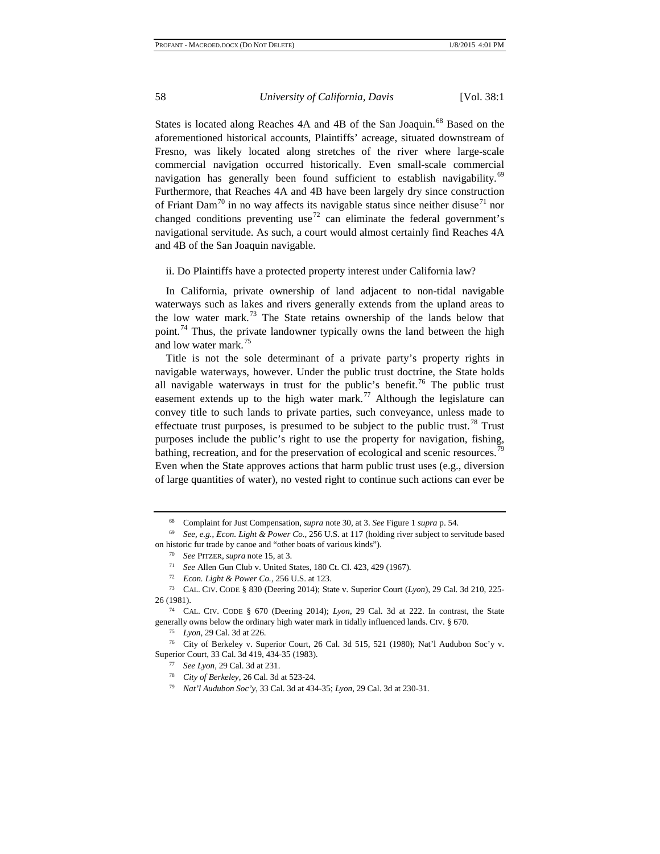States is located along Reaches 4A and 4B of the San Joaquin.<sup>[68](#page-9-0)</sup> Based on the aforementioned historical accounts, Plaintiffs' acreage, situated downstream of Fresno, was likely located along stretches of the river where large-scale commercial navigation occurred historically. Even small-scale commercial navigation has generally been found sufficient to establish navigability.<sup>[69](#page-9-1)</sup> Furthermore, that Reaches 4A and 4B have been largely dry since construction of Friant Dam<sup>[70](#page-9-2)</sup> in no way affects its navigable status since neither disuse<sup>[71](#page-9-3)</sup> nor changed conditions preventing use<sup>[72](#page-9-4)</sup> can eliminate the federal government's navigational servitude. As such, a court would almost certainly find Reaches 4A and 4B of the San Joaquin navigable.

ii. Do Plaintiffs have a protected property interest under California law?

In California, private ownership of land adjacent to non-tidal navigable waterways such as lakes and rivers generally extends from the upland areas to the low water mark.<sup>[73](#page-9-5)</sup> The State retains ownership of the lands below that point.<sup>[74](#page-9-6)</sup> Thus, the private landowner typically owns the land between the high and low water mark.<sup>[75](#page-9-7)</sup>

Title is not the sole determinant of a private party's property rights in navigable waterways, however. Under the public trust doctrine, the State holds all navigable waterways in trust for the public's benefit.<sup>[76](#page-9-8)</sup> The public trust easement extends up to the high water mark.<sup>[77](#page-9-9)</sup> Although the legislature can convey title to such lands to private parties, such conveyance, unless made to effectuate trust purposes, is presumed to be subject to the public trust.<sup>[78](#page-9-10)</sup> Trust purposes include the public's right to use the property for navigation, fishing, bathing, recreation, and for the preservation of ecological and scenic resources.<sup>7</sup> Even when the State approves actions that harm public trust uses (e.g., diversion of large quantities of water), no vested right to continue such actions can ever be

<sup>68</sup> Complaint for Just Compensation, *supra* note 30, at 3. *See* Figure 1 *supra* p. 54.

<span id="page-9-2"></span><span id="page-9-1"></span><span id="page-9-0"></span><sup>69</sup> *See, e.g.*, *Econ. Light & Power Co.*, 256 U.S. at 117 (holding river subject to servitude based on historic fur trade by canoe and "other boats of various kinds").

<sup>70</sup> *See* PITZER, *supra* note 15, at 3.

<sup>71</sup> *See* Allen Gun Club v. United States, 180 Ct. Cl. 423, 429 (1967).

<sup>72</sup> *Econ. Light & Power Co.*, 256 U.S. at 123.

<span id="page-9-5"></span><span id="page-9-4"></span><span id="page-9-3"></span><sup>73</sup> CAL. CIV. CODE § 830 (Deering 2014); State v. Superior Court (*Lyon*), 29 Cal. 3d 210, 225- 26 (1981).

<span id="page-9-6"></span><sup>74</sup> CAL. CIV. CODE § 670 (Deering 2014); *Lyon*, 29 Cal. 3d at 222. In contrast, the State generally owns below the ordinary high water mark in tidally influenced lands. CIV. § 670.<br><sup>75</sup> *Lyon*, 29 Cal. 3d at 226.<br><sup>76</sup> City of Berkeley v. Superior Court, 26 Cal. 3d 515, 521 (1980); Nat'l Audubon Soc'y v.

<span id="page-9-11"></span><span id="page-9-10"></span><span id="page-9-9"></span><span id="page-9-8"></span><span id="page-9-7"></span>Superior Court, 33 Cal. 3d 419, 434-35 (1983).

<sup>77</sup> *See Lyon*, 29 Cal. 3d at 231.

<sup>78</sup> *City of Berkeley*, 26 Cal. 3d at 523-24.

<sup>79</sup> *Nat'l Audubon Soc'y*, 33 Cal. 3d at 434-35; *Lyon*, 29 Cal. 3d at 230-31.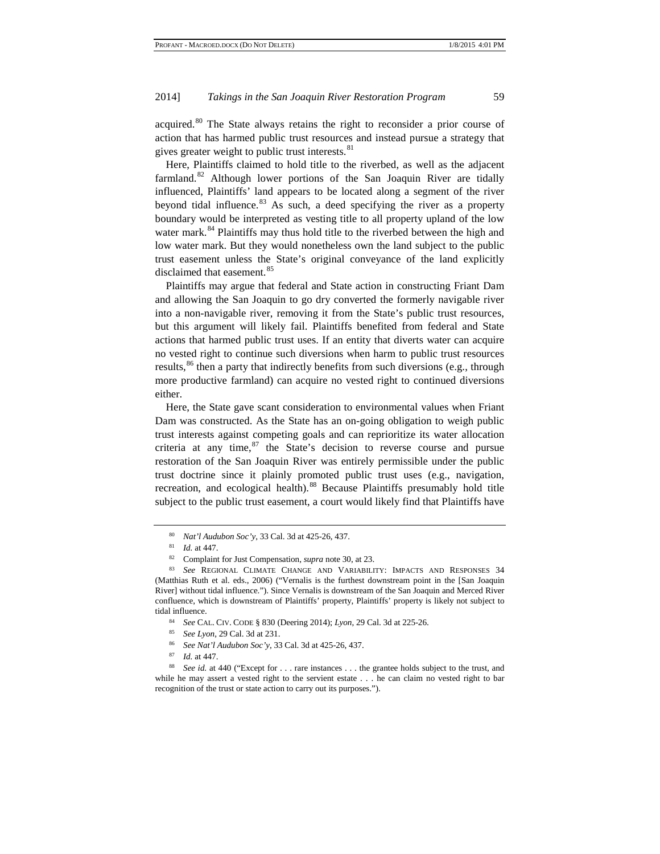acquired.[80](#page-10-0) The State always retains the right to reconsider a prior course of action that has harmed public trust resources and instead pursue a strategy that gives greater weight to public trust interests.<sup>[81](#page-10-1)</sup>

Here, Plaintiffs claimed to hold title to the riverbed, as well as the adjacent farmland. $82$  Although lower portions of the San Joaquin River are tidally influenced, Plaintiffs' land appears to be located along a segment of the river beyond tidal influence. $83$  As such, a deed specifying the river as a property boundary would be interpreted as vesting title to all property upland of the low water mark.<sup>[84](#page-10-4)</sup> Plaintiffs may thus hold title to the riverbed between the high and low water mark. But they would nonetheless own the land subject to the public trust easement unless the State's original conveyance of the land explicitly disclaimed that easement.<sup>[85](#page-10-5)</sup>

Plaintiffs may argue that federal and State action in constructing Friant Dam and allowing the San Joaquin to go dry converted the formerly navigable river into a non-navigable river, removing it from the State's public trust resources, but this argument will likely fail. Plaintiffs benefited from federal and State actions that harmed public trust uses. If an entity that diverts water can acquire no vested right to continue such diversions when harm to public trust resources results,<sup>[86](#page-10-6)</sup> then a party that indirectly benefits from such diversions (e.g., through more productive farmland) can acquire no vested right to continued diversions either.

Here, the State gave scant consideration to environmental values when Friant Dam was constructed. As the State has an on-going obligation to weigh public trust interests against competing goals and can reprioritize its water allocation criteria at any time, $87$  the State's decision to reverse course and pursue restoration of the San Joaquin River was entirely permissible under the public trust doctrine since it plainly promoted public trust uses (e.g., navigation, recreation, and ecological health).<sup>[88](#page-10-8)</sup> Because Plaintiffs presumably hold title subject to the public trust easement, a court would likely find that Plaintiffs have

- <sup>86</sup> *See Nat'l Audubon Soc'y*, 33 Cal. 3d at 425-26, 437.
- <sup>87</sup> *Id.* at 447.

<sup>80</sup> *Nat'l Audubon Soc'y*, 33 Cal. 3d at 425-26, 437.

<sup>81</sup> *Id.* at 447.

<sup>82</sup> Complaint for Just Compensation, *supra* note 30, at 23.

<span id="page-10-3"></span><span id="page-10-2"></span><span id="page-10-1"></span><span id="page-10-0"></span><sup>83</sup> *See* REGIONAL CLIMATE CHANGE AND VARIABILITY: IMPACTS AND RESPONSES 34 (Matthias Ruth et al. eds., 2006) ("Vernalis is the furthest downstream point in the [San Joaquin River] without tidal influence."). Since Vernalis is downstream of the San Joaquin and Merced River confluence, which is downstream of Plaintiffs' property, Plaintiffs' property is likely not subject to tidal influence.

<sup>84</sup> *See* CAL. CIV. CODE § 830 (Deering 2014); *Lyon*, 29 Cal. 3d at 225-26. 85 *See Lyon*, 29 Cal. 3d at 231.

<span id="page-10-8"></span><span id="page-10-7"></span><span id="page-10-6"></span><span id="page-10-5"></span><span id="page-10-4"></span><sup>&</sup>lt;sup>88</sup> *See id.* at 440 ("Except for . . . rare instances . . . the grantee holds subject to the trust, and while he may assert a vested right to the servient estate . . . he can claim no vested right to bar recognition of the trust or state action to carry out its purposes.").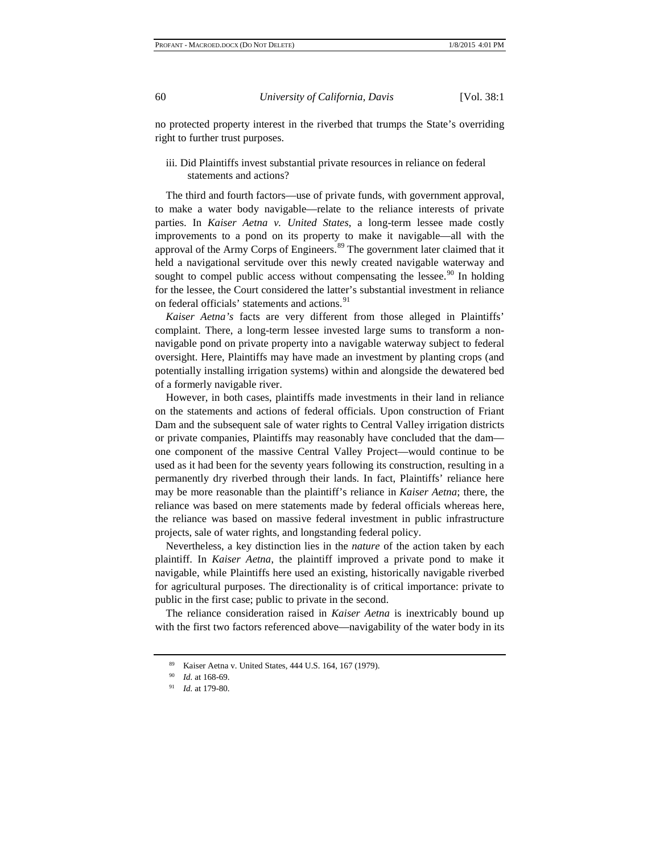no protected property interest in the riverbed that trumps the State's overriding right to further trust purposes.

#### iii. Did Plaintiffs invest substantial private resources in reliance on federal statements and actions?

The third and fourth factors—use of private funds, with government approval, to make a water body navigable—relate to the reliance interests of private parties. In *Kaiser Aetna v. United States*, a long-term lessee made costly improvements to a pond on its property to make it navigable—all with the approval of the Army Corps of Engineers.<sup>[89](#page-11-0)</sup> The government later claimed that it held a navigational servitude over this newly created navigable waterway and sought to compel public access without compensating the lessee.<sup>[90](#page-11-1)</sup> In holding for the lessee, the Court considered the latter's substantial investment in reliance on federal officials' statements and actions.<sup>[91](#page-11-2)</sup>

*Kaiser Aetna's* facts are very different from those alleged in Plaintiffs' complaint. There, a long-term lessee invested large sums to transform a nonnavigable pond on private property into a navigable waterway subject to federal oversight. Here, Plaintiffs may have made an investment by planting crops (and potentially installing irrigation systems) within and alongside the dewatered bed of a formerly navigable river.

However, in both cases, plaintiffs made investments in their land in reliance on the statements and actions of federal officials. Upon construction of Friant Dam and the subsequent sale of water rights to Central Valley irrigation districts or private companies, Plaintiffs may reasonably have concluded that the dam one component of the massive Central Valley Project—would continue to be used as it had been for the seventy years following its construction, resulting in a permanently dry riverbed through their lands. In fact, Plaintiffs' reliance here may be more reasonable than the plaintiff's reliance in *Kaiser Aetna*; there, the reliance was based on mere statements made by federal officials whereas here, the reliance was based on massive federal investment in public infrastructure projects, sale of water rights, and longstanding federal policy.

Nevertheless, a key distinction lies in the *nature* of the action taken by each plaintiff. In *Kaiser Aetna*, the plaintiff improved a private pond to make it navigable, while Plaintiffs here used an existing, historically navigable riverbed for agricultural purposes. The directionality is of critical importance: private to public in the first case; public to private in the second.

<span id="page-11-1"></span><span id="page-11-0"></span>The reliance consideration raised in *Kaiser Aetna* is inextricably bound up with the first two factors referenced above—navigability of the water body in its

<sup>89</sup> Kaiser Aetna v. United States, 444 U.S. 164, 167 (1979).

<sup>90</sup> *Id.* at 168-69.

<span id="page-11-2"></span><sup>91</sup> *Id.* at 179-80.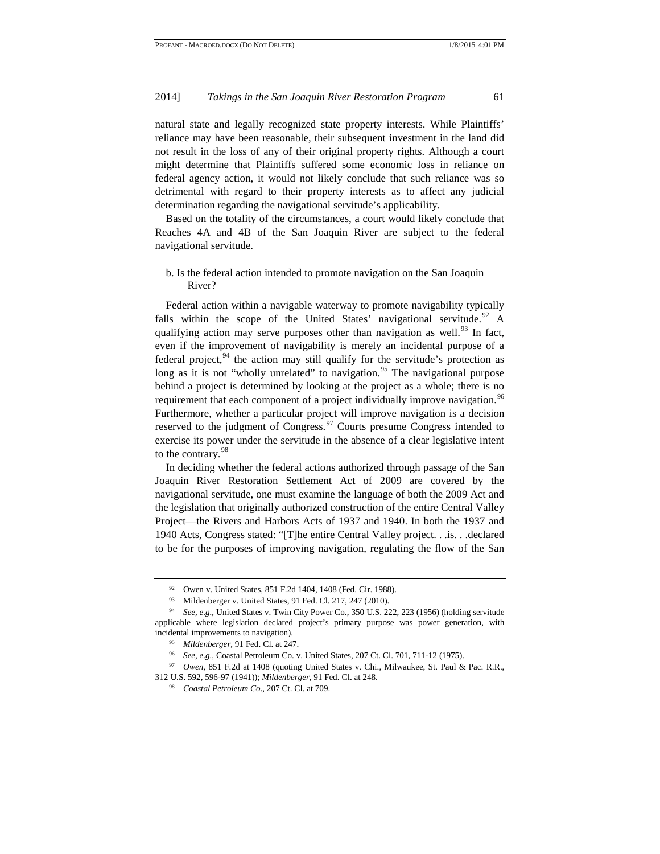natural state and legally recognized state property interests. While Plaintiffs' reliance may have been reasonable, their subsequent investment in the land did not result in the loss of any of their original property rights. Although a court might determine that Plaintiffs suffered some economic loss in reliance on federal agency action, it would not likely conclude that such reliance was so detrimental with regard to their property interests as to affect any judicial determination regarding the navigational servitude's applicability.

Based on the totality of the circumstances, a court would likely conclude that Reaches 4A and 4B of the San Joaquin River are subject to the federal navigational servitude.

b. Is the federal action intended to promote navigation on the San Joaquin River?

Federal action within a navigable waterway to promote navigability typically falls within the scope of the United States' navigational servitude.<sup>[92](#page-12-0)</sup> A qualifying action may serve purposes other than navigation as well.<sup>[93](#page-12-1)</sup> In fact, even if the improvement of navigability is merely an incidental purpose of a federal project,  $94$  the action may still qualify for the servitude's protection as long as it is not "wholly unrelated" to navigation.<sup>[95](#page-12-3)</sup> The navigational purpose behind a project is determined by looking at the project as a whole; there is no requirement that each component of a project individually improve navigation.<sup>[96](#page-12-4)</sup> Furthermore, whether a particular project will improve navigation is a decision reserved to the judgment of Congress.<sup>[97](#page-12-5)</sup> Courts presume Congress intended to exercise its power under the servitude in the absence of a clear legislative intent to the contrary.<sup>[98](#page-12-6)</sup>

In deciding whether the federal actions authorized through passage of the San Joaquin River Restoration Settlement Act of 2009 are covered by the navigational servitude, one must examine the language of both the 2009 Act and the legislation that originally authorized construction of the entire Central Valley Project—the Rivers and Harbors Acts of 1937 and 1940. In both the 1937 and 1940 Acts, Congress stated: "[T]he entire Central Valley project. . .is. . .declared to be for the purposes of improving navigation, regulating the flow of the San

<sup>92</sup> Owen v. United States, 851 F.2d 1404, 1408 (Fed. Cir. 1988).

<sup>93</sup> Mildenberger v. United States, 91 Fed. Cl. 217, 247 (2010).

<span id="page-12-2"></span><span id="page-12-1"></span><span id="page-12-0"></span><sup>94</sup> *See, e.g.*, United States v. Twin City Power Co., 350 U.S. 222, 223 (1956) (holding servitude applicable where legislation declared project's primary purpose was power generation, with incidental improvements to navigation).

<sup>95</sup> *Mildenberger*, 91 Fed. Cl. at 247.

<sup>96</sup> *See, e.g.*, Coastal Petroleum Co. v. United States, 207 Ct. Cl. 701, 711-12 (1975).

<span id="page-12-6"></span><span id="page-12-5"></span><span id="page-12-4"></span><span id="page-12-3"></span><sup>97</sup> *Owen*, 851 F.2d at 1408 (quoting United States v. Chi., Milwaukee, St. Paul & Pac. R.R., 312 U.S. 592, 596-97 (1941)); *Mildenberger*, 91 Fed. Cl. at 248.

<sup>98</sup> *Coastal Petroleum Co.*, 207 Ct. Cl. at 709.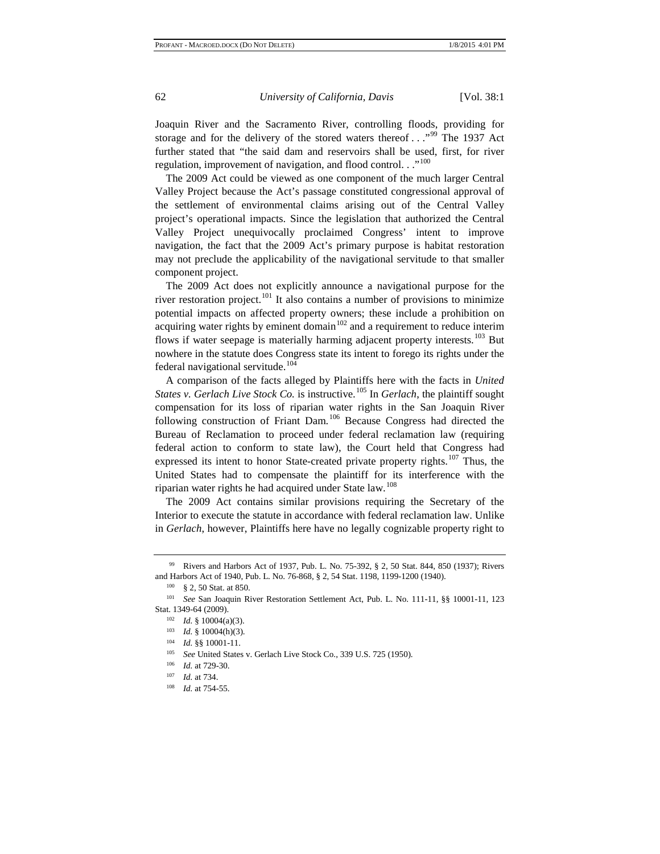Joaquin River and the Sacramento River, controlling floods, providing for storage and for the delivery of the stored waters thereof  $\ldots$ <sup>[99](#page-13-0)</sup>. The 1937 Act further stated that "the said dam and reservoirs shall be used, first, for river regulation, improvement of navigation, and flood control. . ."<sup>[100](#page-13-1)</sup>

The 2009 Act could be viewed as one component of the much larger Central Valley Project because the Act's passage constituted congressional approval of the settlement of environmental claims arising out of the Central Valley project's operational impacts. Since the legislation that authorized the Central Valley Project unequivocally proclaimed Congress' intent to improve navigation, the fact that the 2009 Act's primary purpose is habitat restoration may not preclude the applicability of the navigational servitude to that smaller component project.

The 2009 Act does not explicitly announce a navigational purpose for the river restoration project.<sup>[101](#page-13-2)</sup> It also contains a number of provisions to minimize potential impacts on affected property owners; these include a prohibition on acquiring water rights by eminent domain<sup>[102](#page-13-3)</sup> and a requirement to reduce interim flows if water seepage is materially harming adjacent property interests.<sup>[103](#page-13-4)</sup> But nowhere in the statute does Congress state its intent to forego its rights under the federal navigational servitude.<sup>[104](#page-13-5)</sup>

A comparison of the facts alleged by Plaintiffs here with the facts in *United States v. Gerlach Live Stock Co.* is instructive.<sup>[105](#page-13-6)</sup> In *Gerlach*, the plaintiff sought compensation for its loss of riparian water rights in the San Joaquin River following construction of Friant Dam.<sup>[106](#page-13-7)</sup> Because Congress had directed the Bureau of Reclamation to proceed under federal reclamation law (requiring federal action to conform to state law), the Court held that Congress had expressed its intent to honor State-created private property rights.<sup>[107](#page-13-8)</sup> Thus, the United States had to compensate the plaintiff for its interference with the riparian water rights he had acquired under State law.<sup>[108](#page-13-9)</sup>

The 2009 Act contains similar provisions requiring the Secretary of the Interior to execute the statute in accordance with federal reclamation law. Unlike in *Gerlach*, however, Plaintiffs here have no legally cognizable property right to

<span id="page-13-0"></span><sup>99</sup> Rivers and Harbors Act of 1937, Pub. L. No. 75-392, § 2, 50 Stat. 844, 850 (1937); Rivers and Harbors Act of 1940, Pub. L. No. 76-868[, § 2,](https://advance.lexis.com/document/?pdmfid=1000516&crid=c5763b5e-f55f-4073-abb8-ea498b623a76&pddocfullpath=%2Fshared%2Fdocument%2Fcases%2Furn%3AcontentItem%3A3S4N-G1T0-0039-R50Y-00000-00&pddocid=urn%3AcontentItem%3A3S4N-G1T0-0039-R50Y-00000-00&pdcontentcomponentid=6422&pdshepid=urn%3AcontentItem%3A7XX3-CN71-2NSD-M1VB-00000-00&pdshepcat=initial&ecomp=8hyg&earg=sr4&prid=caec85f5-8c05-4292-97eb-6a8ee0568d17) 54 Stat. 1198, 1199-1200 (1940). 100 § 2, 50 Stat. at 850.

<span id="page-13-6"></span><span id="page-13-5"></span><span id="page-13-4"></span><span id="page-13-3"></span><span id="page-13-2"></span><span id="page-13-1"></span><sup>101</sup> *See* San Joaquin River Restoration Settlement Act, Pub. L. No. 111-11, §§ 10001-11, 123 Stat. 1349-64 (2009).

<sup>102</sup> *Id.* § 10004(a)(3).

<sup>103</sup> *Id.* § 10004(h)(3).

<sup>104</sup> *Id.* §§ 10001-11.

<sup>105</sup> *See* United States v. Gerlach Live Stock Co., 339 U.S. 725 (1950).

<span id="page-13-8"></span><span id="page-13-7"></span><sup>&</sup>lt;sup>106</sup> *Id.* at 729-30.

*Id.* at 734.

<span id="page-13-9"></span><sup>108</sup> *Id.* at 754-55.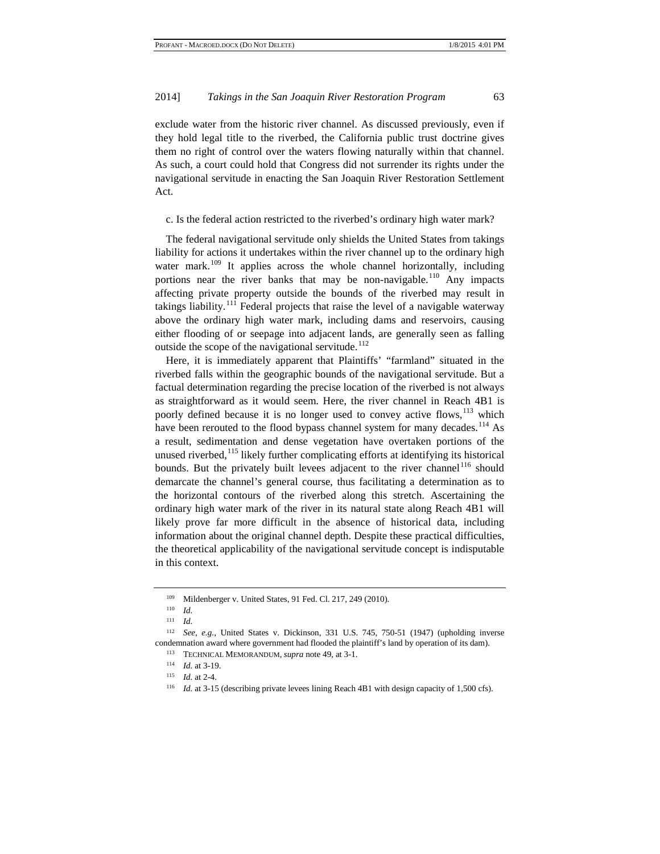exclude water from the historic river channel. As discussed previously, even if they hold legal title to the riverbed, the California public trust doctrine gives them no right of control over the waters flowing naturally within that channel. As such, a court could hold that Congress did not surrender its rights under the navigational servitude in enacting the San Joaquin River Restoration Settlement Act.

c. Is the federal action restricted to the riverbed's ordinary high water mark?

The federal navigational servitude only shields the United States from takings liability for actions it undertakes within the river channel up to the ordinary high water mark.<sup>[109](#page-14-0)</sup> It applies across the whole channel horizontally, including portions near the river banks that may be non-navigable.<sup>[110](#page-14-1)</sup> Any impacts affecting private property outside the bounds of the riverbed may result in takings liability.<sup>[111](#page-14-2)</sup> Federal projects that raise the level of a navigable waterway above the ordinary high water mark, including dams and reservoirs, causing either flooding of or seepage into adjacent lands, are generally seen as falling outside the scope of the navigational servitude.<sup>[112](#page-14-3)</sup>

Here, it is immediately apparent that Plaintiffs' "farmland" situated in the riverbed falls within the geographic bounds of the navigational servitude. But a factual determination regarding the precise location of the riverbed is not always as straightforward as it would seem. Here, the river channel in Reach 4B1 is poorly defined because it is no longer used to convey active flows, <sup>[113](#page-14-4)</sup> which have been rerouted to the flood bypass channel system for many decades.<sup>[114](#page-14-5)</sup> As a result, sedimentation and dense vegetation have overtaken portions of the unused riverbed, $115$  likely further complicating efforts at identifying its historical bounds. But the privately built levees adjacent to the river channel<sup>[116](#page-14-7)</sup> should demarcate the channel's general course, thus facilitating a determination as to the horizontal contours of the riverbed along this stretch. Ascertaining the ordinary high water mark of the river in its natural state along Reach 4B1 will likely prove far more difficult in the absence of historical data, including information about the original channel depth. Despite these practical difficulties, the theoretical applicability of the navigational servitude concept is indisputable in this context.

<sup>109</sup> Mildenberger v. United States, 91 Fed. Cl. 217, 249 (2010).

<sup>110</sup> *Id.*

<sup>111</sup> *Id.*

<span id="page-14-7"></span><span id="page-14-6"></span><span id="page-14-5"></span><span id="page-14-4"></span><span id="page-14-3"></span><span id="page-14-2"></span><span id="page-14-1"></span><span id="page-14-0"></span><sup>112</sup> *See, e.g.,* United States v. Dickinson, 331 U.S. 745, 750-51 (1947) (upholding inverse condemnation award where government had flooded the plaintiff's land by operation of its dam).

<sup>113</sup> TECHNICAL MEMORANDUM, *supra* note 49, at 3-1.

 $\frac{114}{115}$  *Id.* at 3-19.

*Id.* at 2-4.

<sup>&</sup>lt;sup>116</sup> *Id.* at 3-15 (describing private levees lining Reach 4B1 with design capacity of 1,500 cfs).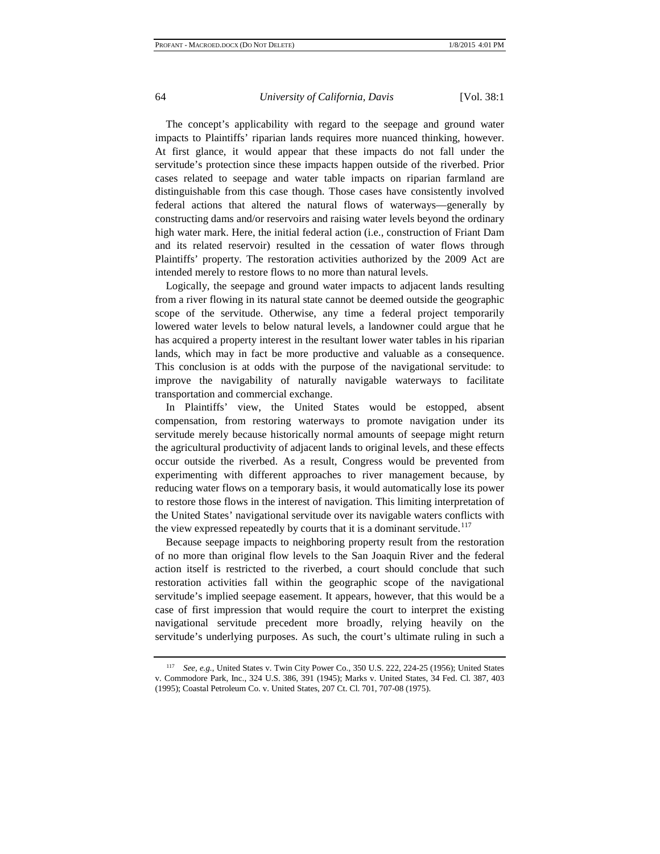The concept's applicability with regard to the seepage and ground water impacts to Plaintiffs' riparian lands requires more nuanced thinking, however. At first glance, it would appear that these impacts do not fall under the servitude's protection since these impacts happen outside of the riverbed. Prior cases related to seepage and water table impacts on riparian farmland are distinguishable from this case though. Those cases have consistently involved federal actions that altered the natural flows of waterways—generally by constructing dams and/or reservoirs and raising water levels beyond the ordinary high water mark. Here, the initial federal action (i.e., construction of Friant Dam and its related reservoir) resulted in the cessation of water flows through Plaintiffs' property. The restoration activities authorized by the 2009 Act are intended merely to restore flows to no more than natural levels.

Logically, the seepage and ground water impacts to adjacent lands resulting from a river flowing in its natural state cannot be deemed outside the geographic scope of the servitude. Otherwise, any time a federal project temporarily lowered water levels to below natural levels, a landowner could argue that he has acquired a property interest in the resultant lower water tables in his riparian lands, which may in fact be more productive and valuable as a consequence. This conclusion is at odds with the purpose of the navigational servitude: to improve the navigability of naturally navigable waterways to facilitate transportation and commercial exchange.

In Plaintiffs' view, the United States would be estopped, absent compensation, from restoring waterways to promote navigation under its servitude merely because historically normal amounts of seepage might return the agricultural productivity of adjacent lands to original levels, and these effects occur outside the riverbed. As a result, Congress would be prevented from experimenting with different approaches to river management because, by reducing water flows on a temporary basis, it would automatically lose its power to restore those flows in the interest of navigation. This limiting interpretation of the United States' navigational servitude over its navigable waters conflicts with the view expressed repeatedly by courts that it is a dominant servitude.<sup>[117](#page-15-0)</sup>

Because seepage impacts to neighboring property result from the restoration of no more than original flow levels to the San Joaquin River and the federal action itself is restricted to the riverbed, a court should conclude that such restoration activities fall within the geographic scope of the navigational servitude's implied seepage easement. It appears, however, that this would be a case of first impression that would require the court to interpret the existing navigational servitude precedent more broadly, relying heavily on the servitude's underlying purposes. As such, the court's ultimate ruling in such a

<span id="page-15-0"></span><sup>117</sup> *See, e.g.*, United States v. Twin City Power Co., 350 U.S. 222, 224-25 (1956); [United States](https://advance.lexis.com/api/document/collection/cases/id/3S4X-K0J0-003B-S4R8-00000-00?page=391&reporter=1100&context=1000516)  [v. Commodore Park, Inc., 324 U.S. 386, 391 \(1945\);](https://advance.lexis.com/api/document/collection/cases/id/3S4X-K0J0-003B-S4R8-00000-00?page=391&reporter=1100&context=1000516) [Marks v. United States, 34 Fed. Cl. 387, 403](https://advance.lexis.com/api/document/collection/cases/id/3S4X-2BP0-006P-F0JN-00000-00?page=403&reporter=1116&context=1000516)  [\(1995\);](https://advance.lexis.com/api/document/collection/cases/id/3S4X-2BP0-006P-F0JN-00000-00?page=403&reporter=1116&context=1000516) [Coastal Petroleum Co. v. United States, 207 Ct.](https://advance.lexis.com/api/document/collection/cases/id/3S4X-8W60-003B-83K7-00000-00?page=707&reporter=1110&context=1000516) Cl. 701, 707-08 (1975).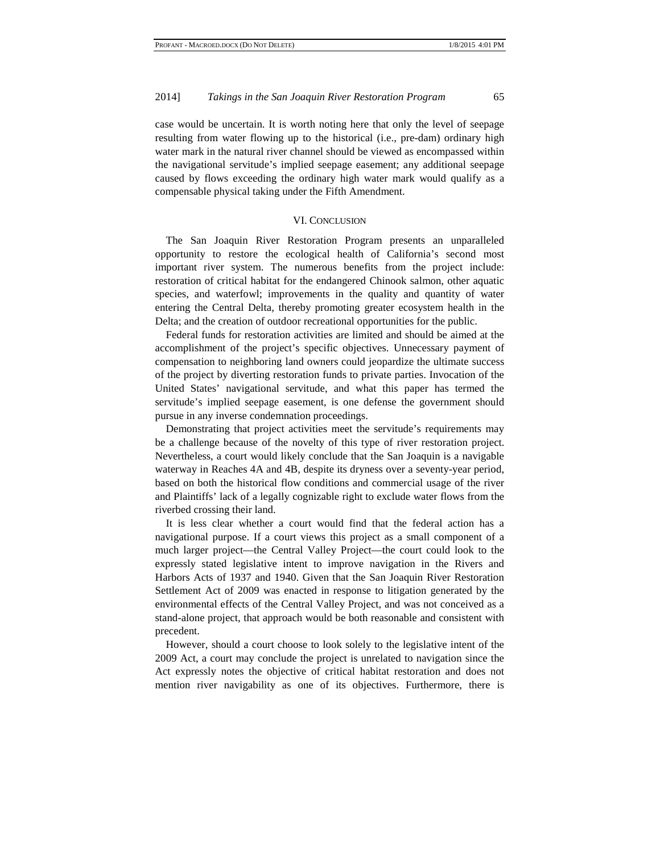case would be uncertain. It is worth noting here that only the level of seepage resulting from water flowing up to the historical (i.e., pre-dam) ordinary high water mark in the natural river channel should be viewed as encompassed within the navigational servitude's implied seepage easement; any additional seepage caused by flows exceeding the ordinary high water mark would qualify as a compensable physical taking under the Fifth Amendment.

#### VI. CONCLUSION

The San Joaquin River Restoration Program presents an unparalleled opportunity to restore the ecological health of California's second most important river system. The numerous benefits from the project include: restoration of critical habitat for the endangered Chinook salmon, other aquatic species, and waterfowl; improvements in the quality and quantity of water entering the Central Delta, thereby promoting greater ecosystem health in the Delta; and the creation of outdoor recreational opportunities for the public.

Federal funds for restoration activities are limited and should be aimed at the accomplishment of the project's specific objectives. Unnecessary payment of compensation to neighboring land owners could jeopardize the ultimate success of the project by diverting restoration funds to private parties. Invocation of the United States' navigational servitude, and what this paper has termed the servitude's implied seepage easement, is one defense the government should pursue in any inverse condemnation proceedings.

Demonstrating that project activities meet the servitude's requirements may be a challenge because of the novelty of this type of river restoration project. Nevertheless, a court would likely conclude that the San Joaquin is a navigable waterway in Reaches 4A and 4B, despite its dryness over a seventy-year period, based on both the historical flow conditions and commercial usage of the river and Plaintiffs' lack of a legally cognizable right to exclude water flows from the riverbed crossing their land.

It is less clear whether a court would find that the federal action has a navigational purpose. If a court views this project as a small component of a much larger project—the Central Valley Project—the court could look to the expressly stated legislative intent to improve navigation in the Rivers and Harbors Acts of 1937 and 1940. Given that the San Joaquin River Restoration Settlement Act of 2009 was enacted in response to litigation generated by the environmental effects of the Central Valley Project, and was not conceived as a stand-alone project, that approach would be both reasonable and consistent with precedent.

However, should a court choose to look solely to the legislative intent of the 2009 Act, a court may conclude the project is unrelated to navigation since the Act expressly notes the objective of critical habitat restoration and does not mention river navigability as one of its objectives. Furthermore, there is